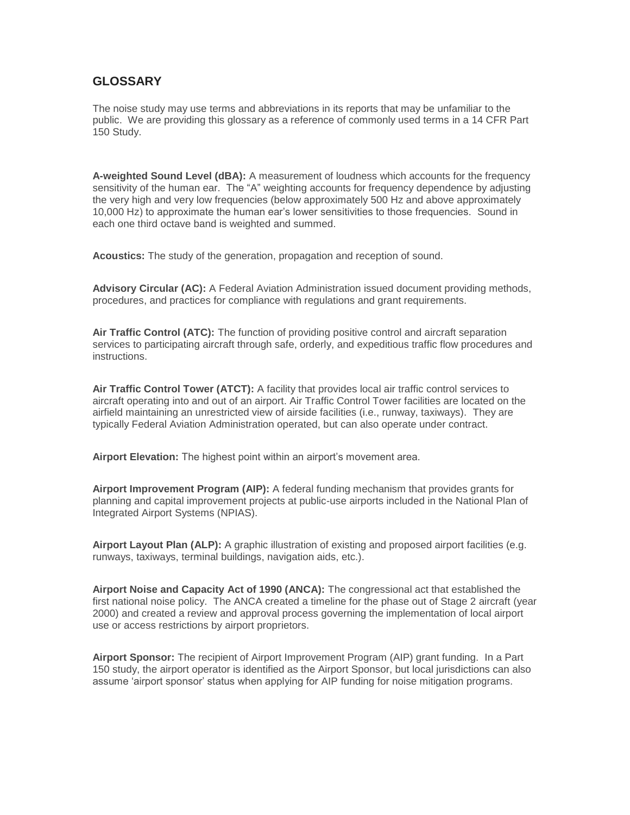## **GLOSSARY**

The noise study may use terms and abbreviations in its reports that may be unfamiliar to the public. We are providing this glossary as a reference of commonly used terms in a 14 CFR Part 150 Study.

**A-weighted Sound Level (dBA):** A measurement of loudness which accounts for the frequency sensitivity of the human ear. The "A" weighting accounts for frequency dependence by adjusting the very high and very low frequencies (below approximately 500 Hz and above approximately 10,000 Hz) to approximate the human ear's lower sensitivities to those frequencies. Sound in each one third octave band is weighted and summed.

**Acoustics:** The study of the generation, propagation and reception of sound.

**Advisory Circular (AC):** A Federal Aviation Administration issued document providing methods, procedures, and practices for compliance with regulations and grant requirements.

**Air Traffic Control (ATC):** The function of providing positive control and aircraft separation services to participating aircraft through safe, orderly, and expeditious traffic flow procedures and instructions.

**Air Traffic Control Tower (ATCT):** A facility that provides local air traffic control services to aircraft operating into and out of an airport. Air Traffic Control Tower facilities are located on the airfield maintaining an unrestricted view of airside facilities (i.e., runway, taxiways). They are typically Federal Aviation Administration operated, but can also operate under contract.

**Airport Elevation:** The highest point within an airport's movement area.

**Airport Improvement Program (AIP):** A federal funding mechanism that provides grants for planning and capital improvement projects at public-use airports included in the National Plan of Integrated Airport Systems (NPIAS).

**Airport Layout Plan (ALP):** A graphic illustration of existing and proposed airport facilities (e.g. runways, taxiways, terminal buildings, navigation aids, etc.).

**Airport Noise and Capacity Act of 1990 (ANCA):** The congressional act that established the first national noise policy. The ANCA created a timeline for the phase out of Stage 2 aircraft (year 2000) and created a review and approval process governing the implementation of local airport use or access restrictions by airport proprietors.

**Airport Sponsor:** The recipient of Airport Improvement Program (AIP) grant funding. In a Part 150 study, the airport operator is identified as the Airport Sponsor, but local jurisdictions can also assume 'airport sponsor' status when applying for AIP funding for noise mitigation programs.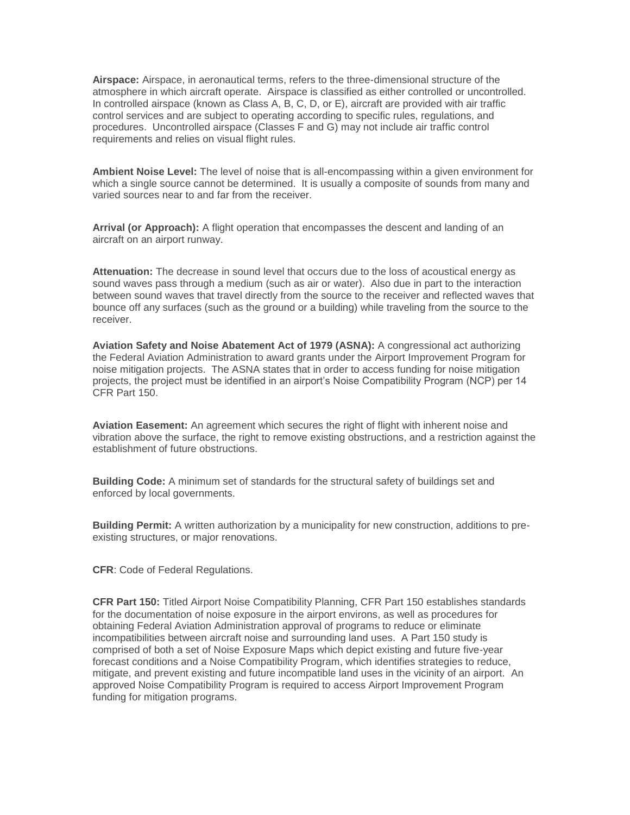**Airspace:** Airspace, in aeronautical terms, refers to the three-dimensional structure of the atmosphere in which aircraft operate. Airspace is classified as either controlled or uncontrolled. In controlled airspace (known as Class A, B, C, D, or E), aircraft are provided with air traffic control services and are subject to operating according to specific rules, regulations, and procedures. Uncontrolled airspace (Classes F and G) may not include air traffic control requirements and relies on visual flight rules.

**Ambient Noise Level:** The level of noise that is all-encompassing within a given environment for which a single source cannot be determined. It is usually a composite of sounds from many and varied sources near to and far from the receiver.

**Arrival (or Approach):** A flight operation that encompasses the descent and landing of an aircraft on an airport runway.

**Attenuation:** The decrease in sound level that occurs due to the loss of acoustical energy as sound waves pass through a medium (such as air or water). Also due in part to the interaction between sound waves that travel directly from the source to the receiver and reflected waves that bounce off any surfaces (such as the ground or a building) while traveling from the source to the receiver.

**Aviation Safety and Noise Abatement Act of 1979 (ASNA):** A congressional act authorizing the Federal Aviation Administration to award grants under the Airport Improvement Program for noise mitigation projects. The ASNA states that in order to access funding for noise mitigation projects, the project must be identified in an airport's Noise Compatibility Program (NCP) per 14 CFR Part 150.

**Aviation Easement:** An agreement which secures the right of flight with inherent noise and vibration above the surface, the right to remove existing obstructions, and a restriction against the establishment of future obstructions.

**Building Code:** A minimum set of standards for the structural safety of buildings set and enforced by local governments.

**Building Permit:** A written authorization by a municipality for new construction, additions to preexisting structures, or major renovations.

**CFR**: Code of Federal Regulations.

**CFR Part 150:** Titled Airport Noise Compatibility Planning, CFR Part 150 establishes standards for the documentation of noise exposure in the airport environs, as well as procedures for obtaining Federal Aviation Administration approval of programs to reduce or eliminate incompatibilities between aircraft noise and surrounding land uses. A Part 150 study is comprised of both a set of Noise Exposure Maps which depict existing and future five-year forecast conditions and a Noise Compatibility Program, which identifies strategies to reduce, mitigate, and prevent existing and future incompatible land uses in the vicinity of an airport. An approved Noise Compatibility Program is required to access Airport Improvement Program funding for mitigation programs.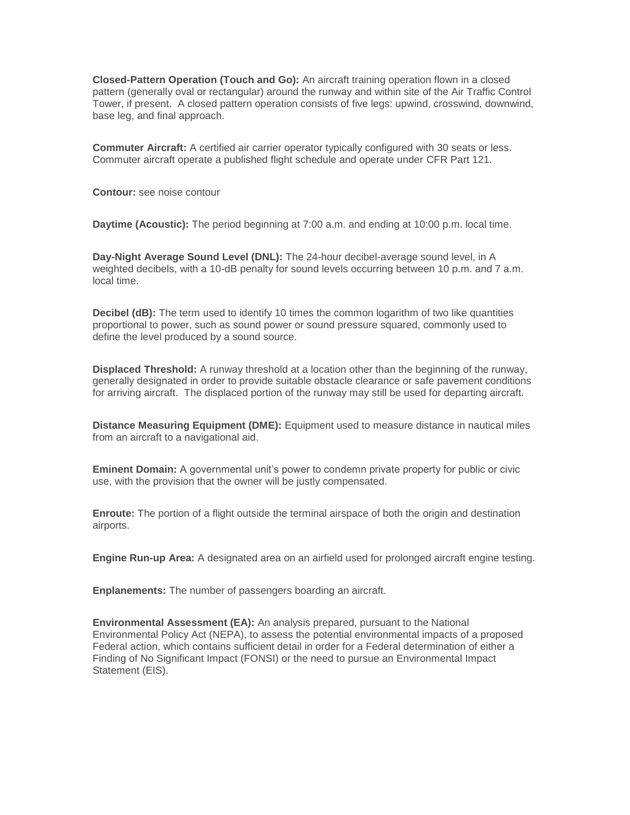**Closed-Pattern Operation (Touch and Go):** An aircraft training operation flown in a closed pattern (generally oval or rectangular) around the runway and within site of the Air Traffic Control Tower, if present. A closed pattern operation consists of five legs: upwind, crosswind, downwind, base leg, and final approach.

**Commuter Aircraft:** A certified air carrier operator typically configured with 30 seats or less. Commuter aircraft operate a published flight schedule and operate under CFR Part 121.

**Contour:** see noise contour

**Daytime (Acoustic):** The period beginning at 7:00 a.m. and ending at 10:00 p.m. local time.

**Day-Night Average Sound Level (DNL):** The 24-hour decibel-average sound level, in A weighted decibels, with a 10-dB penalty for sound levels occurring between 10 p.m. and 7 a.m. local time.

**Decibel (dB):** The term used to identify 10 times the common logarithm of two like quantities proportional to power, such as sound power or sound pressure squared, commonly used to define the level produced by a sound source.

**Displaced Threshold:** A runway threshold at a location other than the beginning of the runway, generally designated in order to provide suitable obstacle clearance or safe pavement conditions for arriving aircraft. The displaced portion of the runway may still be used for departing aircraft.

**Distance Measuring Equipment (DME):** Equipment used to measure distance in nautical miles from an aircraft to a navigational aid.

**Eminent Domain:** A governmental unit's power to condemn private property for public or civic use, with the provision that the owner will be justly compensated.

**Enroute:** The portion of a flight outside the terminal airspace of both the origin and destination airports.

**Engine Run-up Area:** A designated area on an airfield used for prolonged aircraft engine testing.

**Enplanements:** The number of passengers boarding an aircraft.

**Environmental Assessment (EA):** An analysis prepared, pursuant to the National Environmental Policy Act (NEPA), to assess the potential environmental impacts of a proposed Federal action, which contains sufficient detail in order for a Federal determination of either a Finding of No Significant Impact (FONSI) or the need to pursue an Environmental Impact Statement (EIS).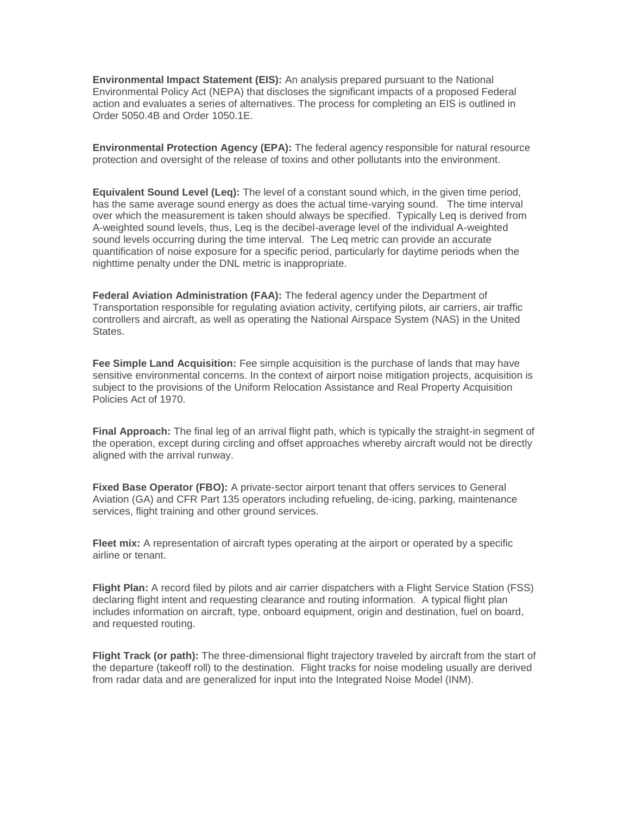**Environmental Impact Statement (EIS):** An analysis prepared pursuant to the National Environmental Policy Act (NEPA) that discloses the significant impacts of a proposed Federal action and evaluates a series of alternatives. The process for completing an EIS is outlined in Order 5050.4B and Order 1050.1E.

**Environmental Protection Agency (EPA):** The federal agency responsible for natural resource protection and oversight of the release of toxins and other pollutants into the environment.

**Equivalent Sound Level (Leq):** The level of a constant sound which, in the given time period, has the same average sound energy as does the actual time-varying sound. The time interval over which the measurement is taken should always be specified. Typically Leq is derived from A-weighted sound levels, thus, Leq is the decibel-average level of the individual A-weighted sound levels occurring during the time interval. The Leq metric can provide an accurate quantification of noise exposure for a specific period, particularly for daytime periods when the nighttime penalty under the DNL metric is inappropriate.

**Federal Aviation Administration (FAA):** The federal agency under the Department of Transportation responsible for regulating aviation activity, certifying pilots, air carriers, air traffic controllers and aircraft, as well as operating the National Airspace System (NAS) in the United States.

**Fee Simple Land Acquisition:** Fee simple acquisition is the purchase of lands that may have sensitive environmental concerns. In the context of airport noise mitigation projects, acquisition is subject to the provisions of the Uniform Relocation Assistance and Real Property Acquisition Policies Act of 1970.

**Final Approach:** The final leg of an arrival flight path, which is typically the straight-in segment of the operation, except during circling and offset approaches whereby aircraft would not be directly aligned with the arrival runway.

**Fixed Base Operator (FBO):** A private-sector airport tenant that offers services to General Aviation (GA) and CFR Part 135 operators including refueling, de-icing, parking, maintenance services, flight training and other ground services.

**Fleet mix:** A representation of aircraft types operating at the airport or operated by a specific airline or tenant.

**Flight Plan:** A record filed by pilots and air carrier dispatchers with a Flight Service Station (FSS) declaring flight intent and requesting clearance and routing information. A typical flight plan includes information on aircraft, type, onboard equipment, origin and destination, fuel on board, and requested routing.

**Flight Track (or path):** The three-dimensional flight trajectory traveled by aircraft from the start of the departure (takeoff roll) to the destination. Flight tracks for noise modeling usually are derived from radar data and are generalized for input into the Integrated Noise Model (INM).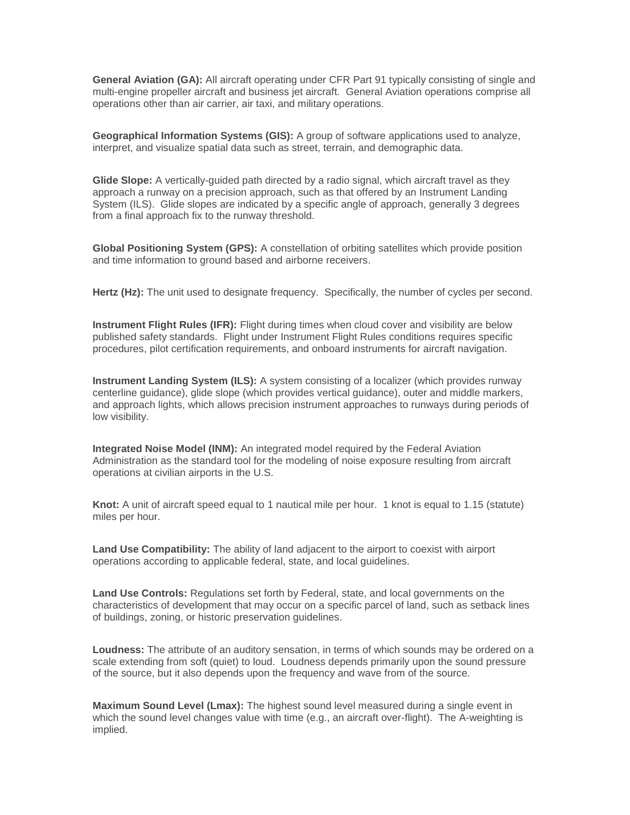**General Aviation (GA):** All aircraft operating under CFR Part 91 typically consisting of single and multi-engine propeller aircraft and business jet aircraft. General Aviation operations comprise all operations other than air carrier, air taxi, and military operations.

**Geographical Information Systems (GIS):** A group of software applications used to analyze, interpret, and visualize spatial data such as street, terrain, and demographic data.

**Glide Slope:** A vertically-guided path directed by a radio signal, which aircraft travel as they approach a runway on a precision approach, such as that offered by an Instrument Landing System (ILS). Glide slopes are indicated by a specific angle of approach, generally 3 degrees from a final approach fix to the runway threshold.

**Global Positioning System (GPS):** A constellation of orbiting satellites which provide position and time information to ground based and airborne receivers.

**Hertz (Hz):** The unit used to designate frequency. Specifically, the number of cycles per second.

**Instrument Flight Rules (IFR):** Flight during times when cloud cover and visibility are below published safety standards. Flight under Instrument Flight Rules conditions requires specific procedures, pilot certification requirements, and onboard instruments for aircraft navigation.

**Instrument Landing System (ILS):** A system consisting of a localizer (which provides runway centerline guidance), glide slope (which provides vertical guidance), outer and middle markers, and approach lights, which allows precision instrument approaches to runways during periods of low visibility.

**Integrated Noise Model (INM):** An integrated model required by the Federal Aviation Administration as the standard tool for the modeling of noise exposure resulting from aircraft operations at civilian airports in the U.S.

**Knot:** A unit of aircraft speed equal to 1 nautical mile per hour. 1 knot is equal to 1.15 (statute) miles per hour.

**Land Use Compatibility:** The ability of land adjacent to the airport to coexist with airport operations according to applicable federal, state, and local guidelines.

**Land Use Controls:** Regulations set forth by Federal, state, and local governments on the characteristics of development that may occur on a specific parcel of land, such as setback lines of buildings, zoning, or historic preservation guidelines.

**Loudness:** The attribute of an auditory sensation, in terms of which sounds may be ordered on a scale extending from soft (quiet) to loud. Loudness depends primarily upon the sound pressure of the source, but it also depends upon the frequency and wave from of the source.

**Maximum Sound Level (Lmax):** The highest sound level measured during a single event in which the sound level changes value with time (e.g., an aircraft over-flight). The A-weighting is implied.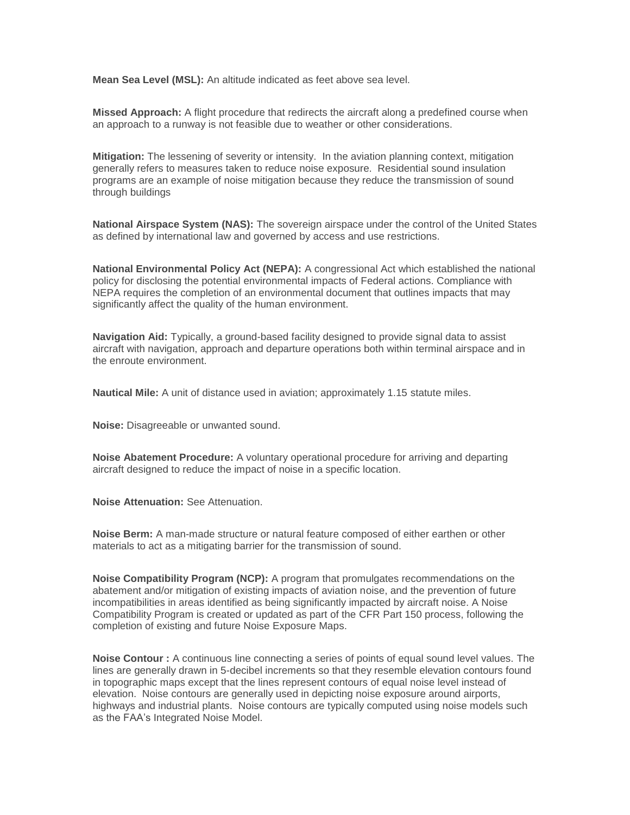**Mean Sea Level (MSL):** An altitude indicated as feet above sea level.

**Missed Approach:** A flight procedure that redirects the aircraft along a predefined course when an approach to a runway is not feasible due to weather or other considerations.

**Mitigation:** The lessening of severity or intensity. In the aviation planning context, mitigation generally refers to measures taken to reduce noise exposure. Residential sound insulation programs are an example of noise mitigation because they reduce the transmission of sound through buildings

**National Airspace System (NAS):** The sovereign airspace under the control of the United States as defined by international law and governed by access and use restrictions.

**National Environmental Policy Act (NEPA):** A congressional Act which established the national policy for disclosing the potential environmental impacts of Federal actions. Compliance with NEPA requires the completion of an environmental document that outlines impacts that may significantly affect the quality of the human environment.

**Navigation Aid:** Typically, a ground-based facility designed to provide signal data to assist aircraft with navigation, approach and departure operations both within terminal airspace and in the enroute environment.

**Nautical Mile:** A unit of distance used in aviation; approximately 1.15 statute miles.

**Noise:** Disagreeable or unwanted sound.

**Noise Abatement Procedure:** A voluntary operational procedure for arriving and departing aircraft designed to reduce the impact of noise in a specific location.

**Noise Attenuation:** See Attenuation.

**Noise Berm:** A man-made structure or natural feature composed of either earthen or other materials to act as a mitigating barrier for the transmission of sound.

**Noise Compatibility Program (NCP):** A program that promulgates recommendations on the abatement and/or mitigation of existing impacts of aviation noise, and the prevention of future incompatibilities in areas identified as being significantly impacted by aircraft noise. A Noise Compatibility Program is created or updated as part of the CFR Part 150 process, following the completion of existing and future Noise Exposure Maps.

**Noise Contour :** A continuous line connecting a series of points of equal sound level values. The lines are generally drawn in 5-decibel increments so that they resemble elevation contours found in topographic maps except that the lines represent contours of equal noise level instead of elevation. Noise contours are generally used in depicting noise exposure around airports, highways and industrial plants. Noise contours are typically computed using noise models such as the FAA's Integrated Noise Model.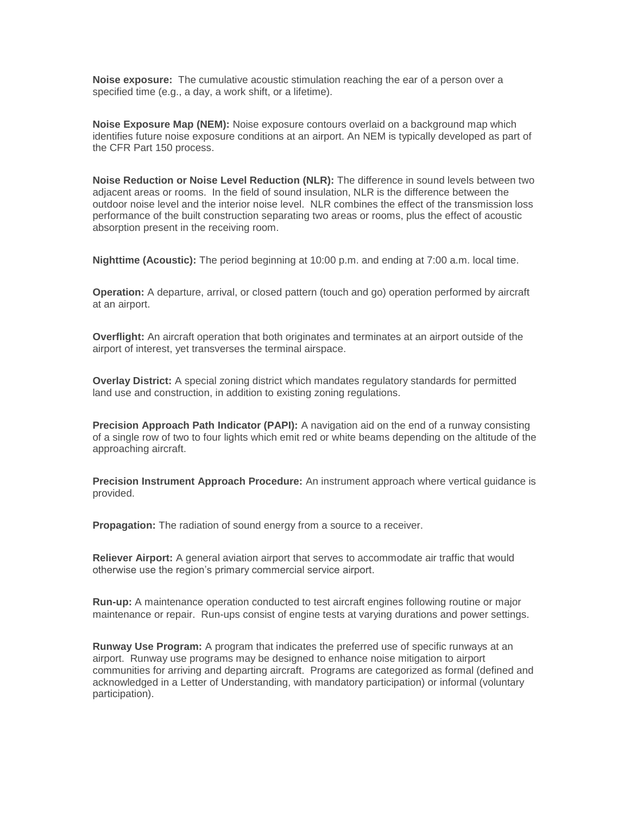**Noise exposure:** The cumulative acoustic stimulation reaching the ear of a person over a specified time (e.g., a day, a work shift, or a lifetime).

**Noise Exposure Map (NEM):** Noise exposure contours overlaid on a background map which identifies future noise exposure conditions at an airport. An NEM is typically developed as part of the CFR Part 150 process.

**Noise Reduction or Noise Level Reduction (NLR):** The difference in sound levels between two adjacent areas or rooms. In the field of sound insulation, NLR is the difference between the outdoor noise level and the interior noise level. NLR combines the effect of the transmission loss performance of the built construction separating two areas or rooms, plus the effect of acoustic absorption present in the receiving room.

**Nighttime (Acoustic):** The period beginning at 10:00 p.m. and ending at 7:00 a.m. local time.

**Operation:** A departure, arrival, or closed pattern (touch and go) operation performed by aircraft at an airport.

**Overflight:** An aircraft operation that both originates and terminates at an airport outside of the airport of interest, yet transverses the terminal airspace.

**Overlay District:** A special zoning district which mandates regulatory standards for permitted land use and construction, in addition to existing zoning regulations.

**Precision Approach Path Indicator (PAPI):** A navigation aid on the end of a runway consisting of a single row of two to four lights which emit red or white beams depending on the altitude of the approaching aircraft.

**Precision Instrument Approach Procedure:** An instrument approach where vertical guidance is provided.

**Propagation:** The radiation of sound energy from a source to a receiver.

**Reliever Airport:** A general aviation airport that serves to accommodate air traffic that would otherwise use the region's primary commercial service airport.

**Run-up:** A maintenance operation conducted to test aircraft engines following routine or major maintenance or repair. Run-ups consist of engine tests at varying durations and power settings.

**Runway Use Program:** A program that indicates the preferred use of specific runways at an airport. Runway use programs may be designed to enhance noise mitigation to airport communities for arriving and departing aircraft. Programs are categorized as formal (defined and acknowledged in a Letter of Understanding, with mandatory participation) or informal (voluntary participation).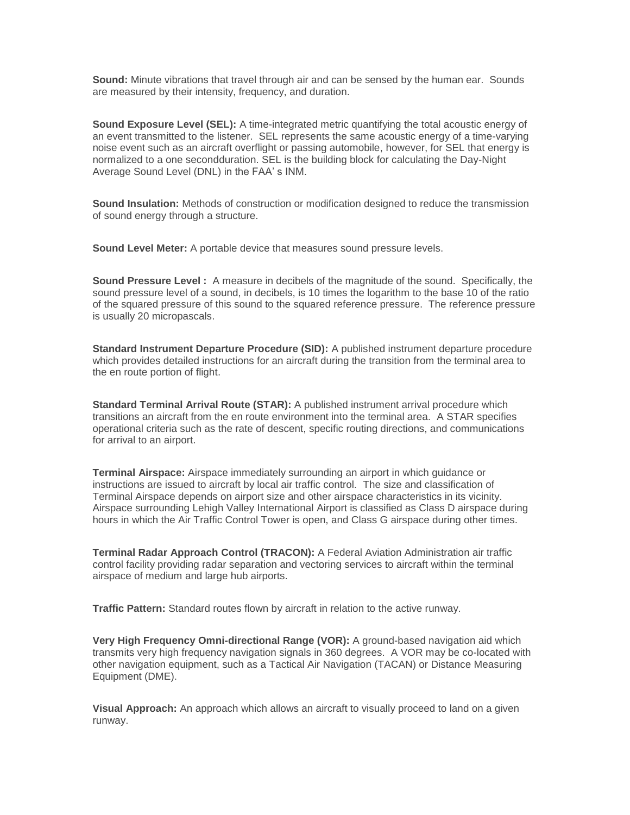**Sound:** Minute vibrations that travel through air and can be sensed by the human ear. Sounds are measured by their intensity, frequency, and duration.

**Sound Exposure Level (SEL):** A time-integrated metric quantifying the total acoustic energy of an event transmitted to the listener. SEL represents the same acoustic energy of a time-varying noise event such as an aircraft overflight or passing automobile, however, for SEL that energy is normalized to a one secondduration. SEL is the building block for calculating the Day-Night Average Sound Level (DNL) in the FAA' s INM.

**Sound Insulation:** Methods of construction or modification designed to reduce the transmission of sound energy through a structure.

**Sound Level Meter:** A portable device that measures sound pressure levels.

**Sound Pressure Level :** A measure in decibels of the magnitude of the sound. Specifically, the sound pressure level of a sound, in decibels, is 10 times the logarithm to the base 10 of the ratio of the squared pressure of this sound to the squared reference pressure. The reference pressure is usually 20 micropascals.

**Standard Instrument Departure Procedure (SID):** A published instrument departure procedure which provides detailed instructions for an aircraft during the transition from the terminal area to the en route portion of flight.

**Standard Terminal Arrival Route (STAR):** A published instrument arrival procedure which transitions an aircraft from the en route environment into the terminal area. A STAR specifies operational criteria such as the rate of descent, specific routing directions, and communications for arrival to an airport.

**Terminal Airspace:** Airspace immediately surrounding an airport in which guidance or instructions are issued to aircraft by local air traffic control. The size and classification of Terminal Airspace depends on airport size and other airspace characteristics in its vicinity. Airspace surrounding Lehigh Valley International Airport is classified as Class D airspace during hours in which the Air Traffic Control Tower is open, and Class G airspace during other times.

**Terminal Radar Approach Control (TRACON):** A Federal Aviation Administration air traffic control facility providing radar separation and vectoring services to aircraft within the terminal airspace of medium and large hub airports.

**Traffic Pattern:** Standard routes flown by aircraft in relation to the active runway.

**Very High Frequency Omni-directional Range (VOR):** A ground-based navigation aid which transmits very high frequency navigation signals in 360 degrees. A VOR may be co-located with other navigation equipment, such as a Tactical Air Navigation (TACAN) or Distance Measuring Equipment (DME).

**Visual Approach:** An approach which allows an aircraft to visually proceed to land on a given runway.